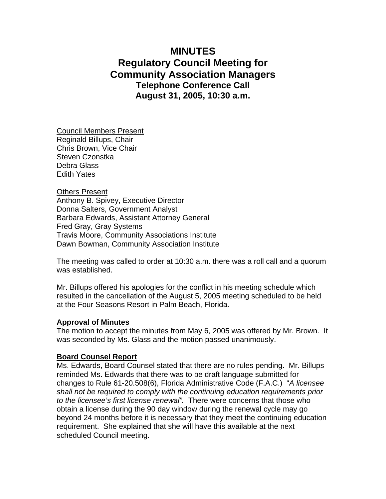# **MINUTES Regulatory Council Meeting for Community Association Managers Telephone Conference Call August 31, 2005, 10:30 a.m.**

Council Members Present Reginald Billups, Chair Chris Brown, Vice Chair Steven Czonstka Debra Glass Edith Yates

Others Present Anthony B. Spivey, Executive Director Donna Salters, Government Analyst Barbara Edwards, Assistant Attorney General Fred Gray, Gray Systems Travis Moore, Community Associations Institute Dawn Bowman, Community Association Institute

The meeting was called to order at 10:30 a.m. there was a roll call and a quorum was established.

Mr. Billups offered his apologies for the conflict in his meeting schedule which resulted in the cancellation of the August 5, 2005 meeting scheduled to be held at the Four Seasons Resort in Palm Beach, Florida.

#### **Approval of Minutes**

The motion to accept the minutes from May 6, 2005 was offered by Mr. Brown. It was seconded by Ms. Glass and the motion passed unanimously.

#### **Board Counsel Report**

Ms. Edwards, Board Counsel stated that there are no rules pending. Mr. Billups reminded Ms. Edwards that there was to be draft language submitted for changes to Rule 61-20.508(6), Florida Administrative Code (F.A.C.) "*A licensee shall not be required to comply with the continuing education requirements prior to the licensee's first license renewal".* There were concerns that those who obtain a license during the 90 day window during the renewal cycle may go beyond 24 months before it is necessary that they meet the continuing education requirement. She explained that she will have this available at the next scheduled Council meeting.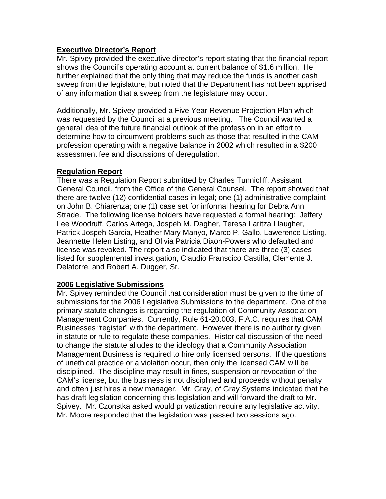## **Executive Director's Report**

Mr. Spivey provided the executive director's report stating that the financial report shows the Council's operating account at current balance of \$1.6 million. He further explained that the only thing that may reduce the funds is another cash sweep from the legislature, but noted that the Department has not been apprised of any information that a sweep from the legislature may occur.

Additionally, Mr. Spivey provided a Five Year Revenue Projection Plan which was requested by the Council at a previous meeting. The Council wanted a general idea of the future financial outlook of the profession in an effort to determine how to circumvent problems such as those that resulted in the CAM profession operating with a negative balance in 2002 which resulted in a \$200 assessment fee and discussions of deregulation.

# **Regulation Report**

There was a Regulation Report submitted by Charles Tunnicliff, Assistant General Council, from the Office of the General Counsel. The report showed that there are twelve (12) confidential cases in legal; one (1) administrative complaint on John B. Chiarenza; one (1) case set for informal hearing for Debra Ann Strade. The following license holders have requested a formal hearing: Jeffery Lee Woodruff, Carlos Artega, Jospeh M. Dagher, Teresa Laritza Llaugher, Patrick Jospeh Garcia, Heather Mary Manyo, Marco P. Gallo, Lawerence Listing, Jeannette Helen Listing, and Olivia Patricia Dixon-Powers who defaulted and license was revoked. The report also indicated that there are three (3) cases listed for supplemental investigation, Claudio Franscico Castilla, Clemente J. Delatorre, and Robert A. Dugger, Sr.

## **2006 Legislative Submissions**

Mr. Spivey reminded the Council that consideration must be given to the time of submissions for the 2006 Legislative Submissions to the department. One of the primary statute changes is regarding the regulation of Community Association Management Companies. Currently, Rule 61-20.003, F.A.C. requires that CAM Businesses "register" with the department. However there is no authority given in statute or rule to regulate these companies. Historical discussion of the need to change the statute alludes to the ideology that a Community Association Management Business is required to hire only licensed persons. If the questions of unethical practice or a violation occur, then only the licensed CAM will be disciplined. The discipline may result in fines, suspension or revocation of the CAM's license, but the business is not disciplined and proceeds without penalty and often just hires a new manager. Mr. Gray, of Gray Systems indicated that he has draft legislation concerning this legislation and will forward the draft to Mr. Spivey. Mr. Czonstka asked would privatization require any legislative activity. Mr. Moore responded that the legislation was passed two sessions ago.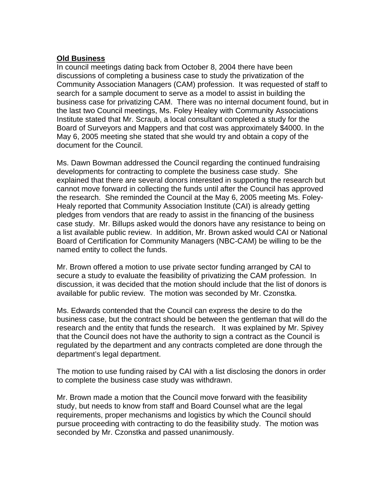# **Old Business**

In council meetings dating back from October 8, 2004 there have been discussions of completing a business case to study the privatization of the Community Association Managers (CAM) profession. It was requested of staff to search for a sample document to serve as a model to assist in building the business case for privatizing CAM. There was no internal document found, but in the last two Council meetings, Ms. Foley Healey with Community Associations Institute stated that Mr. Scraub, a local consultant completed a study for the Board of Surveyors and Mappers and that cost was approximately \$4000. In the May 6, 2005 meeting she stated that she would try and obtain a copy of the document for the Council.

Ms. Dawn Bowman addressed the Council regarding the continued fundraising developments for contracting to complete the business case study. She explained that there are several donors interested in supporting the research but cannot move forward in collecting the funds until after the Council has approved the research. She reminded the Council at the May 6, 2005 meeting Ms. Foley-Healy reported that Community Association Institute (CAI) is already getting pledges from vendors that are ready to assist in the financing of the business case study. Mr. Billups asked would the donors have any resistance to being on a list available public review. In addition, Mr. Brown asked would CAI or National Board of Certification for Community Managers (NBC-CAM) be willing to be the named entity to collect the funds.

Mr. Brown offered a motion to use private sector funding arranged by CAI to secure a study to evaluate the feasibility of privatizing the CAM profession. In discussion, it was decided that the motion should include that the list of donors is available for public review. The motion was seconded by Mr. Czonstka.

Ms. Edwards contended that the Council can express the desire to do the business case, but the contract should be between the gentleman that will do the research and the entity that funds the research. It was explained by Mr. Spivey that the Council does not have the authority to sign a contract as the Council is regulated by the department and any contracts completed are done through the department's legal department.

The motion to use funding raised by CAI with a list disclosing the donors in order to complete the business case study was withdrawn.

Mr. Brown made a motion that the Council move forward with the feasibility study, but needs to know from staff and Board Counsel what are the legal requirements, proper mechanisms and logistics by which the Council should pursue proceeding with contracting to do the feasibility study. The motion was seconded by Mr. Czonstka and passed unanimously.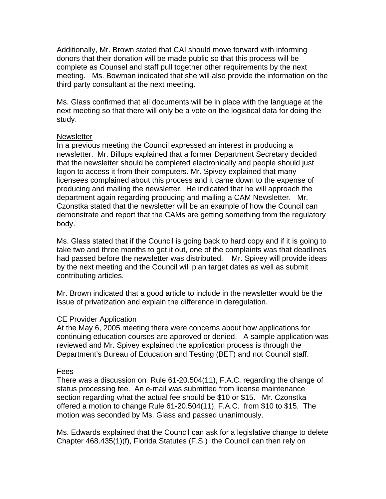Additionally, Mr. Brown stated that CAI should move forward with informing donors that their donation will be made public so that this process will be complete as Counsel and staff pull together other requirements by the next meeting. Ms. Bowman indicated that she will also provide the information on the third party consultant at the next meeting.

Ms. Glass confirmed that all documents will be in place with the language at the next meeting so that there will only be a vote on the logistical data for doing the study.

#### **Newsletter**

In a previous meeting the Council expressed an interest in producing a newsletter. Mr. Billups explained that a former Department Secretary decided that the newsletter should be completed electronically and people should just logon to access it from their computers. Mr. Spivey explained that many licensees complained about this process and it came down to the expense of producing and mailing the newsletter. He indicated that he will approach the department again regarding producing and mailing a CAM Newsletter. Mr. Czonstka stated that the newsletter will be an example of how the Council can demonstrate and report that the CAMs are getting something from the regulatory body.

Ms. Glass stated that if the Council is going back to hard copy and if it is going to take two and three months to get it out, one of the complaints was that deadlines had passed before the newsletter was distributed. Mr. Spivey will provide ideas by the next meeting and the Council will plan target dates as well as submit contributing articles.

Mr. Brown indicated that a good article to include in the newsletter would be the issue of privatization and explain the difference in deregulation.

## CE Provider Application

At the May 6, 2005 meeting there were concerns about how applications for continuing education courses are approved or denied. A sample application was reviewed and Mr. Spivey explained the application process is through the Department's Bureau of Education and Testing (BET) and not Council staff.

## Fees

There was a discussion on Rule 61-20.504(11), F.A.C. regarding the change of status processing fee. An e-mail was submitted from license maintenance section regarding what the actual fee should be \$10 or \$15. Mr. Czonstka offered a motion to change Rule 61-20.504(11), F.A.C. from \$10 to \$15. The motion was seconded by Ms. Glass and passed unanimously.

Ms. Edwards explained that the Council can ask for a legislative change to delete Chapter 468.435(1)(f), Florida Statutes (F.S.) the Council can then rely on